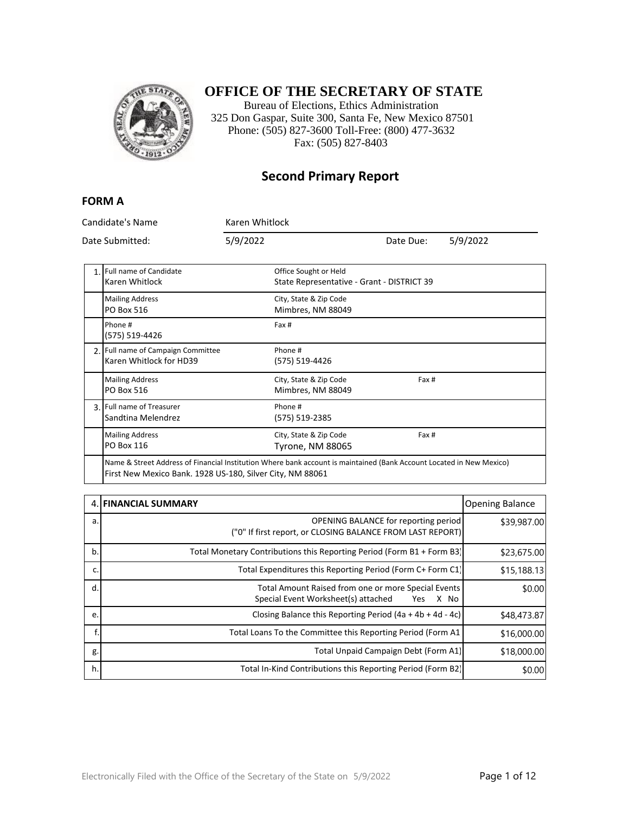

## **OFFICE OF THE SECRETARY OF STATE**

Bureau of Elections, Ethics Administration 325 Don Gaspar, Suite 300, Santa Fe, New Mexico 87501 Phone: (505) 827-3600 Toll-Free: (800) 477-3632 Fax: (505) 827-8403

#### **Second Primary Report**

#### **FORM A**

| Candidate's Name<br>Date Submitted: |                                                                                                                      | Karen Whitlock |                                                                     |           |          |
|-------------------------------------|----------------------------------------------------------------------------------------------------------------------|----------------|---------------------------------------------------------------------|-----------|----------|
|                                     |                                                                                                                      | 5/9/2022       |                                                                     | Date Due: | 5/9/2022 |
|                                     | 1. Full name of Candidate<br>Karen Whitlock                                                                          |                | Office Sought or Held<br>State Representative - Grant - DISTRICT 39 |           |          |
|                                     | <b>Mailing Address</b><br>PO Box 516                                                                                 |                | City, State & Zip Code<br>Mimbres, NM 88049                         |           |          |
|                                     | Phone #<br>(575) 519-4426                                                                                            |                | Fax #                                                               |           |          |
|                                     | 2. Full name of Campaign Committee<br>Karen Whitlock for HD39                                                        |                | Phone #<br>(575) 519-4426                                           |           |          |
|                                     | <b>Mailing Address</b><br>PO Box 516                                                                                 |                | City, State & Zip Code<br>Mimbres, NM 88049                         | Fax #     |          |
|                                     | 3. Full name of Treasurer<br>Sandtina Melendrez                                                                      |                | Phone #<br>(575) 519-2385                                           |           |          |
|                                     | <b>Mailing Address</b><br><b>PO Box 116</b>                                                                          |                | City, State & Zip Code<br>Tyrone, NM 88065                          | Fax #     |          |
|                                     | Name & Street Address of Financial Institution Where bank account is maintained (Bank Account Located in New Mexico) |                |                                                                     |           |          |

First New Mexico Bank. 1928 US-180, Silver City, NM 88061

|    | 4. FINANCIAL SUMMARY                                                                                             | <b>Opening Balance</b> |
|----|------------------------------------------------------------------------------------------------------------------|------------------------|
| a. | <b>OPENING BALANCE for reporting period</b><br>("0" If first report, or CLOSING BALANCE FROM LAST REPORT)        | \$39,987.00            |
| b. | Total Monetary Contributions this Reporting Period (Form B1 + Form B3)                                           | \$23,675.00            |
| c. | Total Expenditures this Reporting Period (Form C+ Form C1)                                                       | \$15,188.13            |
| d. | Total Amount Raised from one or more Special Events<br>Special Event Worksheet(s) attached<br>X No<br><b>Yes</b> | \$0.00                 |
| e. | Closing Balance this Reporting Period $(4a + 4b + 4d - 4c)$                                                      | \$48,473.87            |
|    | Total Loans To the Committee this Reporting Period (Form A1)                                                     | \$16,000.00            |
| g. | Total Unpaid Campaign Debt (Form A1)                                                                             | \$18,000.00            |
| h. | Total In-Kind Contributions this Reporting Period (Form B2)                                                      | \$0.00                 |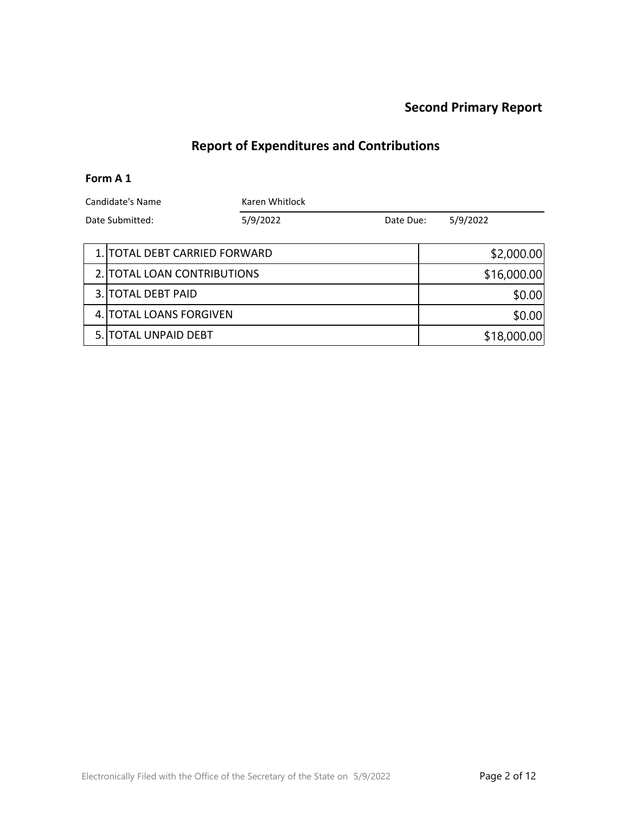### **Report of Expenditures and Contributions**

#### **Form A 1**

| Candidate's Name<br>Date Submitted: |  | Karen Whitlock |           |             |          |
|-------------------------------------|--|----------------|-----------|-------------|----------|
|                                     |  | 5/9/2022       | Date Due: |             | 5/9/2022 |
| 1. TOTAL DEBT CARRIED FORWARD       |  |                |           | \$2,000.00  |          |
| 2. TOTAL LOAN CONTRIBUTIONS         |  |                |           | \$16,000.00 |          |
| 3. TOTAL DEBT PAID                  |  |                |           | \$0.00      |          |

4. TOTAL LOANS FORGIVEN \$0.00

5. TOTAL UNPAID DEBT \$18,000.00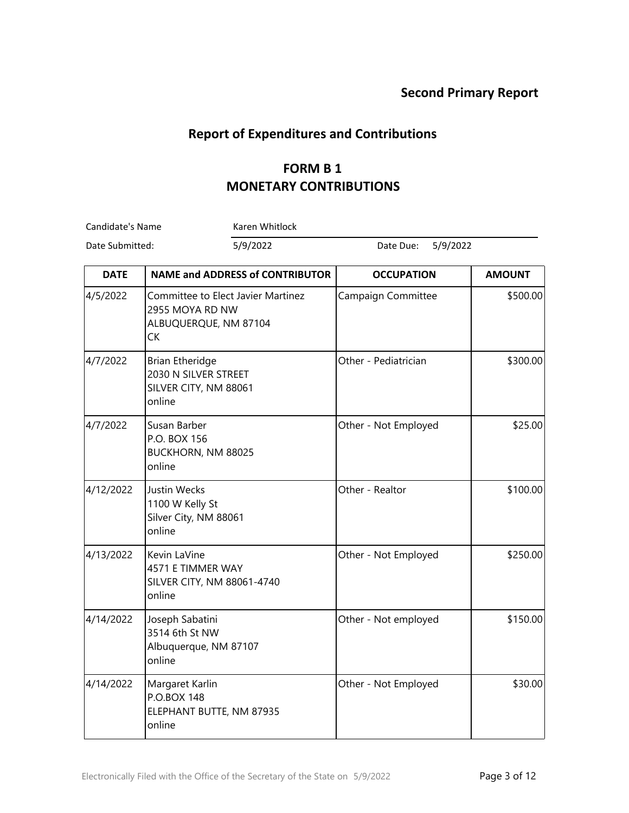### **Report of Expenditures and Contributions**

## **FORM B 1 MONETARY CONTRIBUTIONS**

Candidate's Name Karen Whitlock

Date Submitted: 5/9/2022 Date Due: 5/9/2022

| <b>DATE</b> | <b>NAME and ADDRESS of CONTRIBUTOR</b>                                                      | <b>OCCUPATION</b>    | <b>AMOUNT</b> |
|-------------|---------------------------------------------------------------------------------------------|----------------------|---------------|
| 4/5/2022    | Committee to Elect Javier Martinez<br>2955 MOYA RD NW<br>ALBUQUERQUE, NM 87104<br><b>CK</b> | Campaign Committee   | \$500.00      |
| 4/7/2022    | <b>Brian Etheridge</b><br>2030 N SILVER STREET<br>SILVER CITY, NM 88061<br>online           | Other - Pediatrician | \$300.00      |
| 4/7/2022    | Susan Barber<br>P.O. BOX 156<br>BUCKHORN, NM 88025<br>online                                | Other - Not Employed | \$25.00       |
| 4/12/2022   | Justin Wecks<br>1100 W Kelly St<br>Silver City, NM 88061<br>online                          | Other - Realtor      | \$100.00      |
| 4/13/2022   | Kevin LaVine<br>4571 E TIMMER WAY<br>SILVER CITY, NM 88061-4740<br>online                   | Other - Not Employed | \$250.00      |
| 4/14/2022   | Joseph Sabatini<br>3514 6th St NW<br>Albuquerque, NM 87107<br>online                        | Other - Not employed | \$150.00      |
| 4/14/2022   | Margaret Karlin<br>P.O.BOX 148<br>ELEPHANT BUTTE, NM 87935<br>online                        | Other - Not Employed | \$30.00       |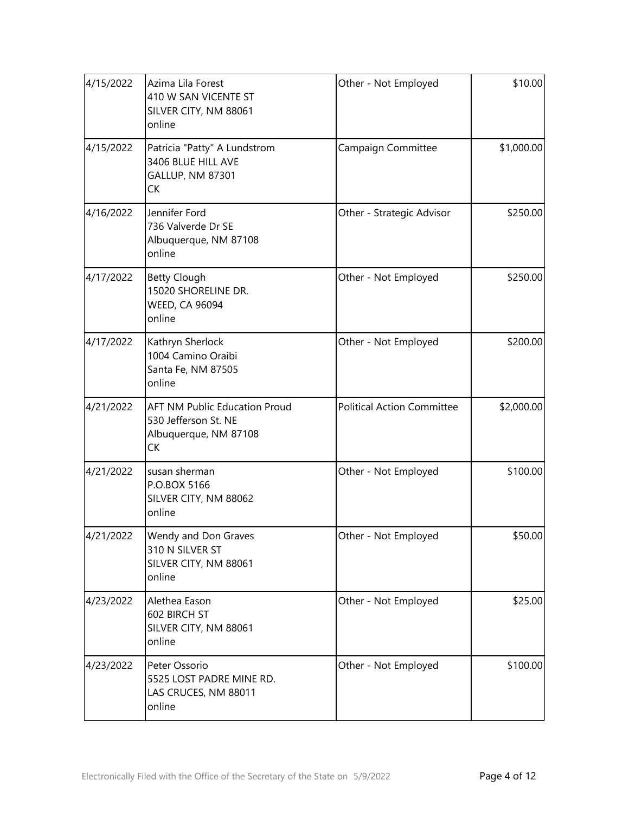| 4/15/2022 | Azima Lila Forest<br>410 W SAN VICENTE ST<br>SILVER CITY, NM 88061<br>online                | Other - Not Employed              | \$10.00    |
|-----------|---------------------------------------------------------------------------------------------|-----------------------------------|------------|
| 4/15/2022 | Patricia "Patty" A Lundstrom<br>3406 BLUE HILL AVE<br>GALLUP, NM 87301<br>СK                | Campaign Committee                | \$1,000.00 |
| 4/16/2022 | Jennifer Ford<br>736 Valverde Dr SE<br>Albuquerque, NM 87108<br>online                      | Other - Strategic Advisor         | \$250.00   |
| 4/17/2022 | <b>Betty Clough</b><br>15020 SHORELINE DR.<br><b>WEED, CA 96094</b><br>online               | Other - Not Employed              |            |
| 4/17/2022 | Kathryn Sherlock<br>1004 Camino Oraibi<br>Santa Fe, NM 87505<br>online                      | Other - Not Employed              | \$200.00   |
| 4/21/2022 | <b>AFT NM Public Education Proud</b><br>530 Jefferson St. NE<br>Albuquerque, NM 87108<br>СK | <b>Political Action Committee</b> | \$2,000.00 |
| 4/21/2022 | susan sherman<br>P.O.BOX 5166<br>SILVER CITY, NM 88062<br>online                            | \$100.00<br>Other - Not Employed  |            |
| 4/21/2022 | Wendy and Don Graves<br>310 N SILVER ST<br>SILVER CITY, NM 88061<br>online                  | Other - Not Employed<br>\$50.00   |            |
| 4/23/2022 | Alethea Eason<br>602 BIRCH ST<br>SILVER CITY, NM 88061<br>online                            | Other - Not Employed              | \$25.00    |
| 4/23/2022 | Peter Ossorio<br>5525 LOST PADRE MINE RD.<br>LAS CRUCES, NM 88011<br>online                 | Other - Not Employed              | \$100.00   |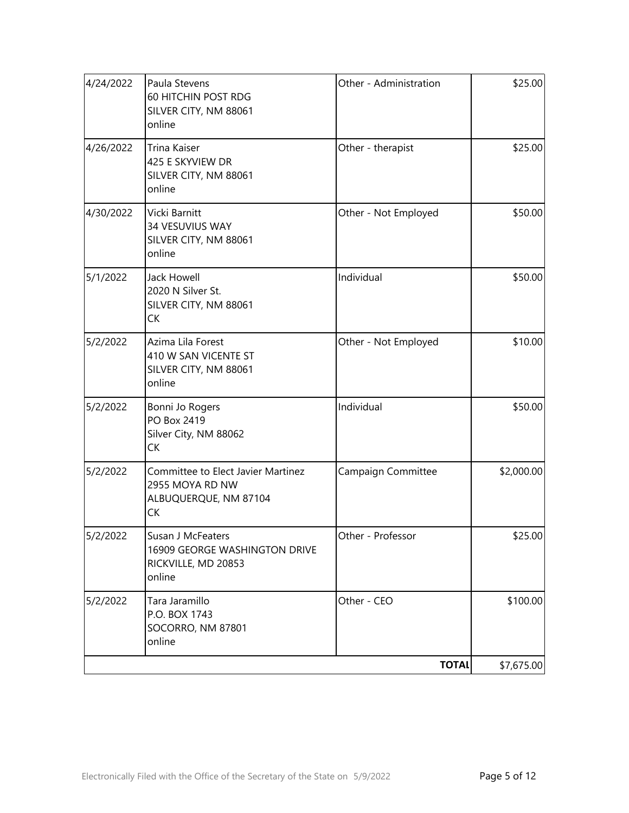| 4/24/2022 | Paula Stevens<br>60 HITCHIN POST RDG<br>SILVER CITY, NM 88061<br>online              | Other - Administration | \$25.00    |
|-----------|--------------------------------------------------------------------------------------|------------------------|------------|
| 4/26/2022 | Trina Kaiser<br>425 E SKYVIEW DR<br>SILVER CITY, NM 88061<br>online                  | Other - therapist      | \$25.00    |
| 4/30/2022 | Vicki Barnitt<br>34 VESUVIUS WAY<br>SILVER CITY, NM 88061<br>online                  | Other - Not Employed   | \$50.00    |
| 5/1/2022  | <b>Jack Howell</b><br>2020 N Silver St.<br>SILVER CITY, NM 88061<br><b>CK</b>        | Individual             | \$50.00    |
| 5/2/2022  | Azima Lila Forest<br>410 W SAN VICENTE ST<br>SILVER CITY, NM 88061<br>online         | Other - Not Employed   | \$10.00    |
| 5/2/2022  | Bonni Jo Rogers<br>PO Box 2419<br>Silver City, NM 88062<br><b>CK</b>                 | Individual             | \$50.00    |
| 5/2/2022  | Committee to Elect Javier Martinez<br>2955 MOYA RD NW<br>ALBUQUERQUE, NM 87104<br>CK | Campaign Committee     | \$2,000.00 |
| 5/2/2022  | Susan J McFeaters<br>16909 GEORGE WASHINGTON DRIVE<br>RICKVILLE, MD 20853<br>online  | Other - Professor      | \$25.00    |
| 5/2/2022  | Tara Jaramillo<br>P.O. BOX 1743<br>SOCORRO, NM 87801<br>online                       | Other - CEO            | \$100.00   |
|           |                                                                                      | <b>TOTAL</b>           | \$7,675.00 |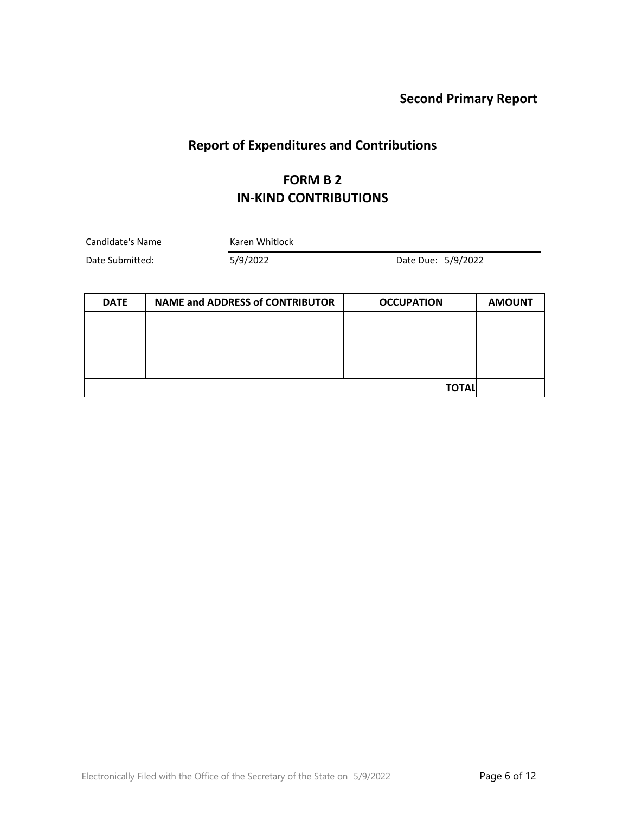# **Report of Expenditures and Contributions**

#### **FORM B 2 IN-KIND CONTRIBUTIONS**

| Candidate's Name | Karen Whitlock |                    |  |
|------------------|----------------|--------------------|--|
| Date Submitted:  | 5/9/2022       | Date Due: 5/9/2022 |  |

| <b>DATE</b> | <b>NAME and ADDRESS of CONTRIBUTOR</b> | <b>OCCUPATION</b> | <b>AMOUNT</b> |
|-------------|----------------------------------------|-------------------|---------------|
|             |                                        |                   |               |
|             |                                        |                   |               |
|             |                                        |                   |               |
|             |                                        |                   |               |
|             |                                        | <b>TOTAL</b>      |               |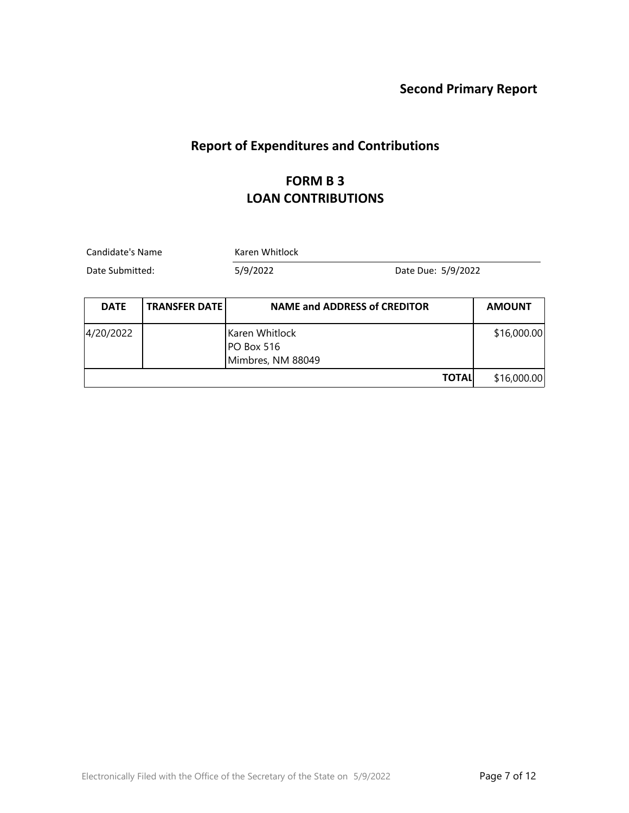# **Report of Expenditures and Contributions**

## **FORM B 3 LOAN CONTRIBUTIONS**

| Candidate's Name<br>Date Submitted: |                      | Karen Whitlock                                    |               |  |  |
|-------------------------------------|----------------------|---------------------------------------------------|---------------|--|--|
|                                     |                      | 5/9/2022<br>Date Due: 5/9/2022                    |               |  |  |
| <b>DATE</b>                         | <b>TRANSFER DATE</b> | <b>NAME and ADDRESS of CREDITOR</b>               | <b>AMOUNT</b> |  |  |
| 4/20/2022                           |                      | Karen Whitlock<br>PO Box 516<br>Mimbres, NM 88049 | \$16,000.00   |  |  |
|                                     |                      | <b>TOTAL</b>                                      | \$16,000.00   |  |  |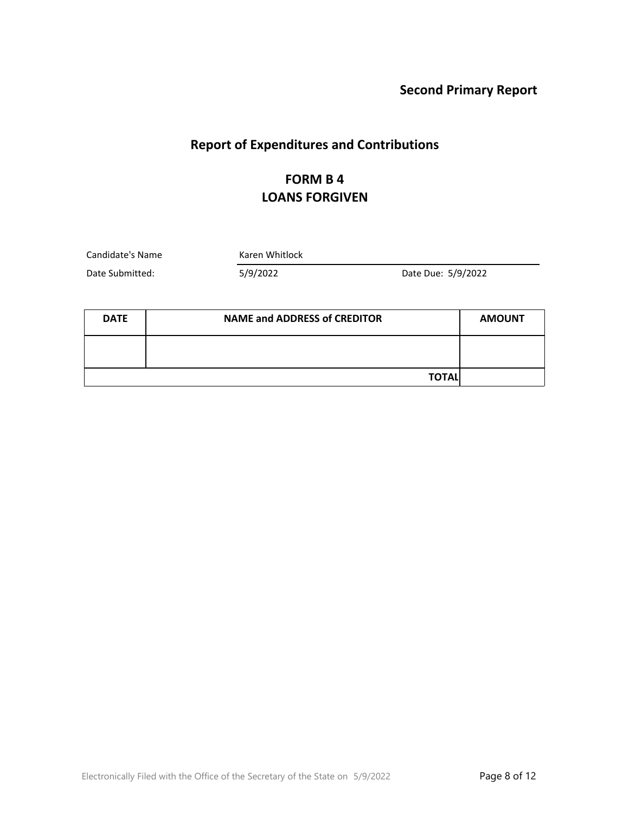# **Report of Expenditures and Contributions**

## **FORM B 4 LOANS FORGIVEN**

Candidate's Name Karen Whitlock

Date Submitted: 5/9/2022 Date Due: 5/9/2022

| <b>DATE</b> | <b>NAME and ADDRESS of CREDITOR</b> |  |
|-------------|-------------------------------------|--|
|             |                                     |  |
|             | <b>TOTALI</b>                       |  |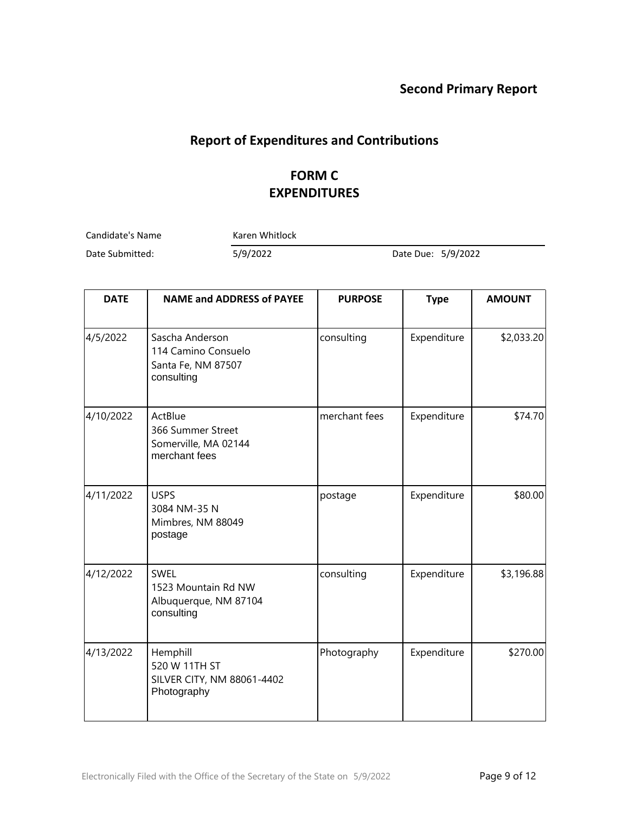# **Report of Expenditures and Contributions**

## **FORM C EXPENDITURES**

Candidate's Name Karen Whitlock

Date Submitted: 5/9/2022 Date Due: 5/9/2022

| <b>DATE</b> | <b>NAME and ADDRESS of PAYEE</b>                                           | <b>PURPOSE</b> | <b>Type</b> | <b>AMOUNT</b> |
|-------------|----------------------------------------------------------------------------|----------------|-------------|---------------|
| 4/5/2022    | Sascha Anderson<br>114 Camino Consuelo<br>Santa Fe, NM 87507<br>consulting | consulting     | Expenditure | \$2,033.20    |
| 4/10/2022   | ActBlue<br>366 Summer Street<br>Somerville, MA 02144<br>merchant fees      | merchant fees  | Expenditure | \$74.70       |
| 4/11/2022   | <b>USPS</b><br>3084 NM-35 N<br>Mimbres, NM 88049<br>postage                | postage        | Expenditure | \$80.00       |
| 4/12/2022   | <b>SWEL</b><br>1523 Mountain Rd NW<br>Albuquerque, NM 87104<br>consulting  | consulting     | Expenditure | \$3,196.88    |
| 4/13/2022   | Hemphill<br>520 W 11TH ST<br>SILVER CITY, NM 88061-4402<br>Photography     | Photography    | Expenditure | \$270.00      |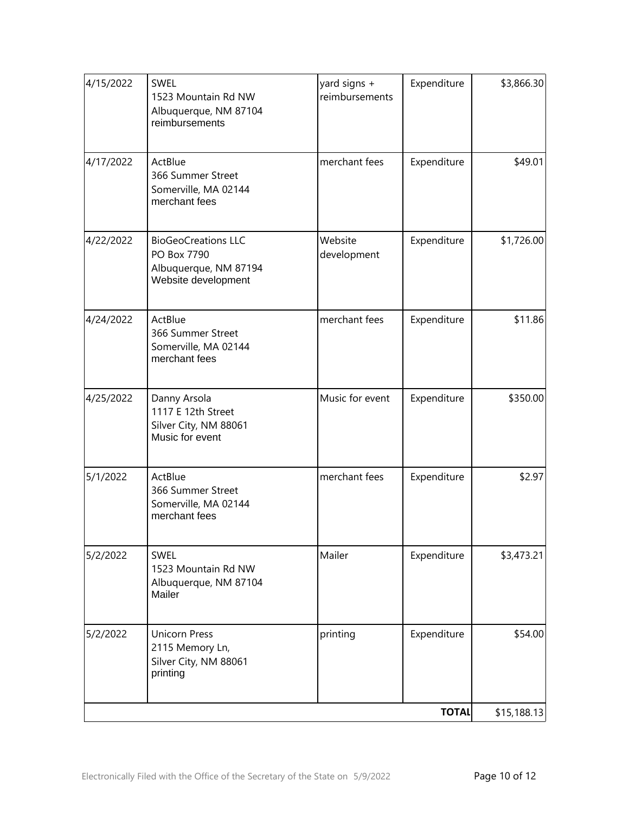| 4/25/2022 | Danny Arsola<br>1117 E 12th Street                                           | Music for event | Expenditure  | \$350.00    |
|-----------|------------------------------------------------------------------------------|-----------------|--------------|-------------|
|           | Silver City, NM 88061<br>Music for event                                     |                 |              |             |
| 5/1/2022  | ActBlue<br>366 Summer Street<br>Somerville, MA 02144<br>merchant fees        | merchant fees   | Expenditure  | \$2.97      |
| 5/2/2022  | <b>SWEL</b><br>1523 Mountain Rd NW<br>Albuquerque, NM 87104<br>Mailer        | Mailer          | Expenditure  | \$3,473.21  |
| 5/2/2022  | <b>Unicorn Press</b><br>2115 Memory Ln,<br>Silver City, NM 88061<br>printing | printing        | Expenditure  | \$54.00     |
|           |                                                                              |                 | <b>TOTAL</b> | \$15,188.13 |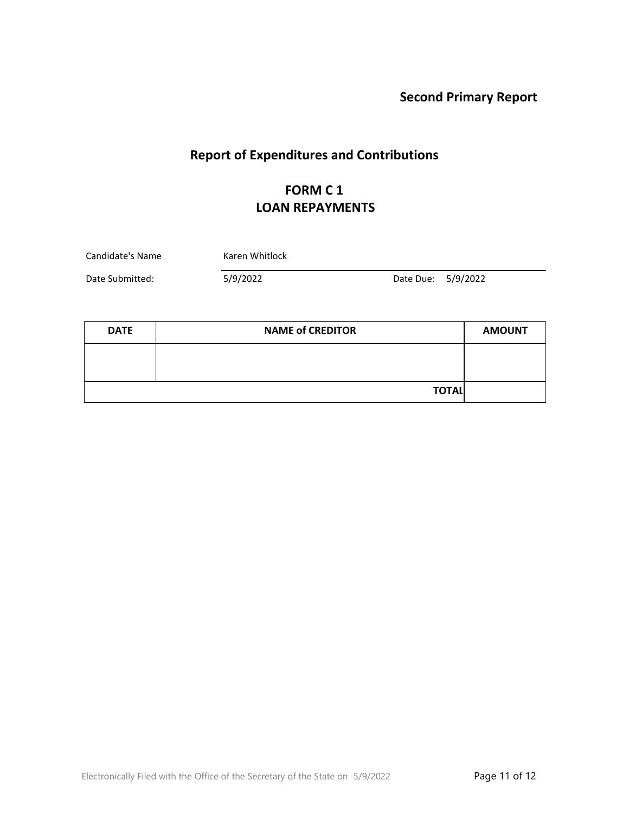# **Report of Expenditures and Contributions**

# **FORM C 1 LOAN REPAYMENTS**

| Candidate's Name | Karen Whitlock |                    |  |  |
|------------------|----------------|--------------------|--|--|
| Date Submitted:  | 5/9/2022       | Date Due: 5/9/2022 |  |  |

| <b>DATE</b> | <b>NAME of CREDITOR</b> | <b>AMOUNT</b> |
|-------------|-------------------------|---------------|
|             |                         |               |
|             |                         |               |
|             | <b>TOTAL</b>            |               |